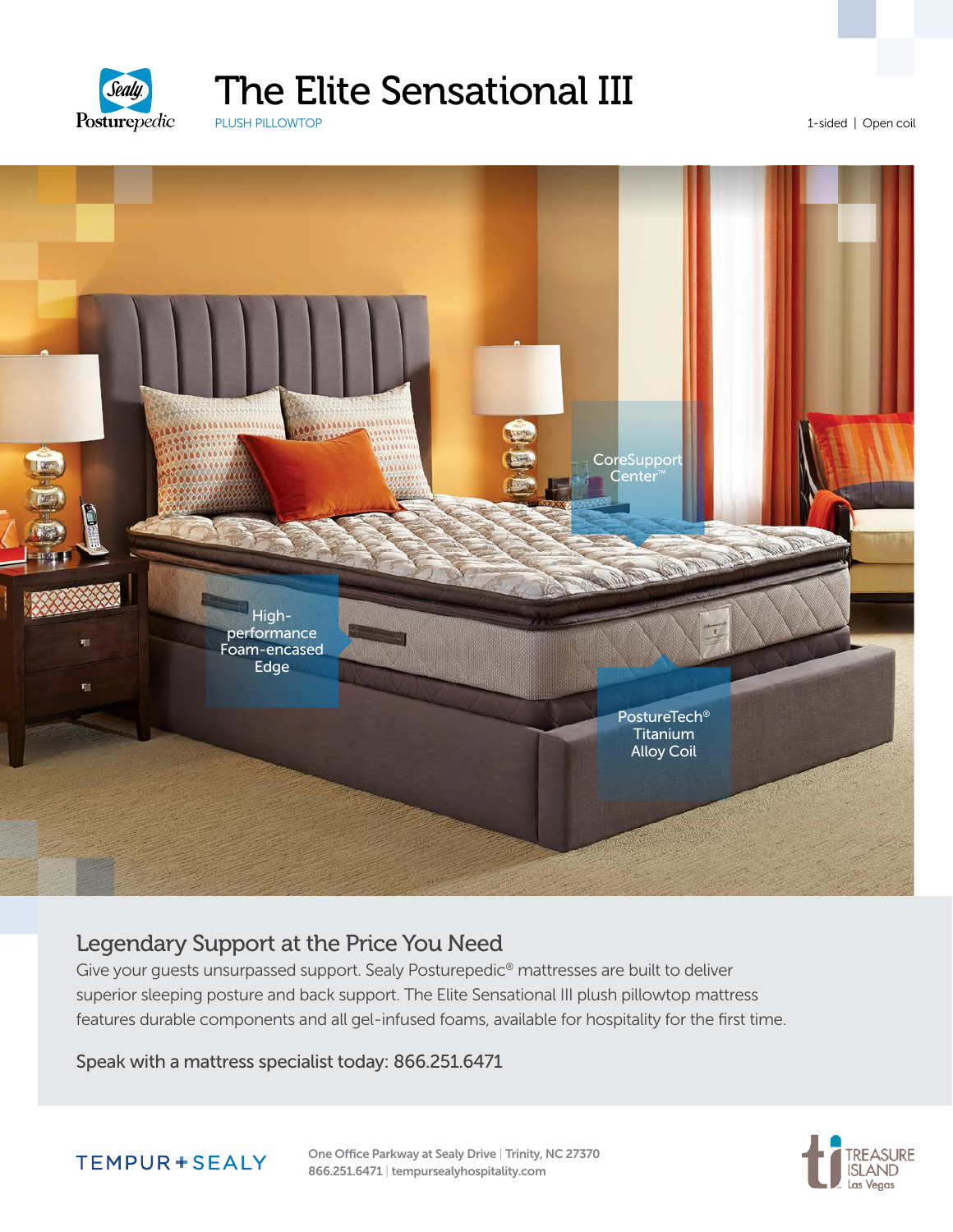

## The Elite Sensational III

PLUSH PILLOWTOP

1-sided | Open coil



#### Legendary Support at the Price You Need

Give your guests unsurpassed support. Sealy Posturepedic® mattresses are built to deliver superior sleeping posture and back support. The Elite Sensational III plush pillowtop mattress features durable components and all gel-infused foams, available for hospitality for the first time.

Speak with a mattress specialist today: 866.251.6471



One Office Parkway at Sealy Drive | Trinity, NC 27370 866.251.6471 | tempursealyhospitality.com